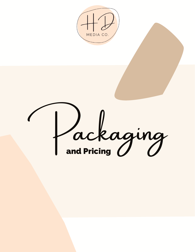

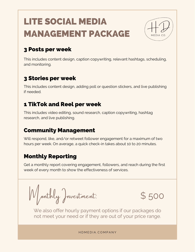# LITE SOCIAL MEDIA MANAGEMENT PACKAGE



#### 3 Posts per week

This includes content design, caption copywriting, relevant hashtags, scheduling, and monitoring.

### 3 Stories per week

This includes content design, adding poll or question stickers, and live publishing if needed.

# 1 TikTok and Reel per week

This includes video editing, sound research, caption copywriting, hashtag research, and live publishing.

## Community Management

Will respond, like, and/or retweet follower engagement for a maximum of two hours per week. On average, a quick check-in takes about 10 to 20 minutes.

# Monthly Reporting

Get a monthly report covering engagement, followers, and reach during the first week of every month to show the effectiveness of services.

Monthly Investment:



We also offer hourly payment options if our packages do not meet your need or if they are out of your price range.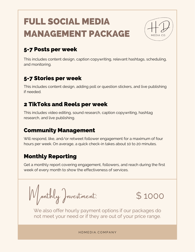# FULL SOCIAL MEDIA MANAGEMENT PACKAGE



# 5-7 Posts per week

This includes content design, caption copywriting, relevant hashtags, scheduling, and monitoring.

# 5-7 Stories per week

This includes content design, adding poll or question stickers, and live publishing if needed.

### 2 TikToks and Reels per week

This includes video editing, sound research, caption copywriting, hashtag research, and live publishing.

#### Community Management

Will respond, like, and/or retweet follower engagement for a maximum of four hours per week. On average, a quick check-in takes about 10 to 20 minutes.

# Monthly Reporting

Get a monthly report covering engagement, followers, and reach during the first week of every month to show the effectiveness of services.

Monthly Investment:



We also offer hourly payment options if our packages do not meet your need or if they are out of your price range.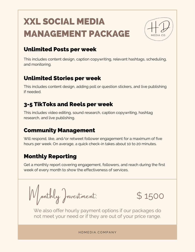# XXL SOCIAL MEDIA MANAGEMENT PACKAGE

#### Unlimited Posts per week

This includes content design, caption copywriting, relevant hashtags, scheduling, and monitoring.

#### Unlimited Stories per week

This includes content design, adding poll or question stickers, and live publishing if needed.

# 3-5 TikToks and Reels per week

This includes video editing, sound research, caption copywriting, hashtag research, and live publishing.

#### Community Management

Will respond, like, and/or retweet follower engagement for a maximum of five hours per week. On average, a quick check-in takes about 10 to 20 minutes.

# Monthly Reporting

Get a monthly report covering engagement, followers, and reach during the first week of every month to show the effectiveness of services.

Monthly Investment:



We also offer hourly payment options if our packages do not meet your need or if they are out of your price range.